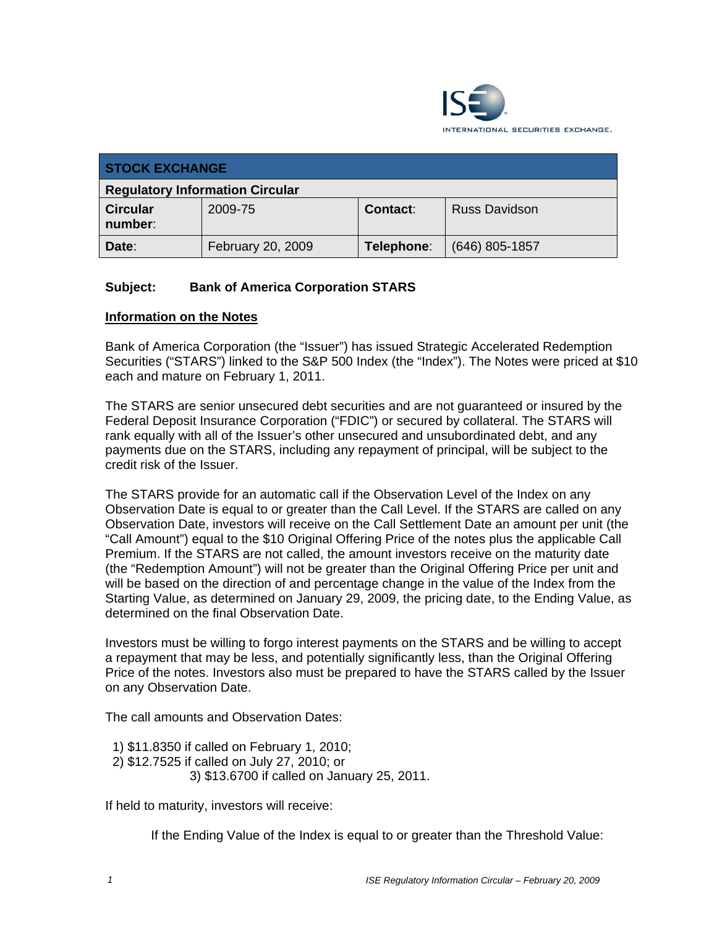

| <b>STOCK EXCHANGE</b>                  |                   |                 |                      |
|----------------------------------------|-------------------|-----------------|----------------------|
| <b>Regulatory Information Circular</b> |                   |                 |                      |
| <b>Circular</b><br>number:             | 2009-75           | <b>Contact:</b> | <b>Russ Davidson</b> |
| Date:                                  | February 20, 2009 | Telephone:      | $(646)$ 805-1857     |

## **Subject: Bank of America Corporation STARS**

#### **Information on the Notes**

Bank of America Corporation (the "Issuer") has issued Strategic Accelerated Redemption Securities ("STARS") linked to the S&P 500 Index (the "Index"). The Notes were priced at \$10 each and mature on February 1, 2011.

The STARS are senior unsecured debt securities and are not guaranteed or insured by the Federal Deposit Insurance Corporation ("FDIC") or secured by collateral. The STARS will rank equally with all of the Issuer's other unsecured and unsubordinated debt, and any payments due on the STARS, including any repayment of principal, will be subject to the credit risk of the Issuer.

The STARS provide for an automatic call if the Observation Level of the Index on any Observation Date is equal to or greater than the Call Level. If the STARS are called on any Observation Date, investors will receive on the Call Settlement Date an amount per unit (the "Call Amount") equal to the \$10 Original Offering Price of the notes plus the applicable Call Premium. If the STARS are not called, the amount investors receive on the maturity date (the "Redemption Amount") will not be greater than the Original Offering Price per unit and will be based on the direction of and percentage change in the value of the Index from the Starting Value, as determined on January 29, 2009, the pricing date, to the Ending Value, as determined on the final Observation Date.

Investors must be willing to forgo interest payments on the STARS and be willing to accept a repayment that may be less, and potentially significantly less, than the Original Offering Price of the notes. Investors also must be prepared to have the STARS called by the Issuer on any Observation Date.

The call amounts and Observation Dates:

 1) \$11.8350 if called on February 1, 2010; 2) \$12.7525 if called on July 27, 2010; or 3) \$13.6700 if called on January 25, 2011.

If held to maturity, investors will receive:

If the Ending Value of the Index is equal to or greater than the Threshold Value: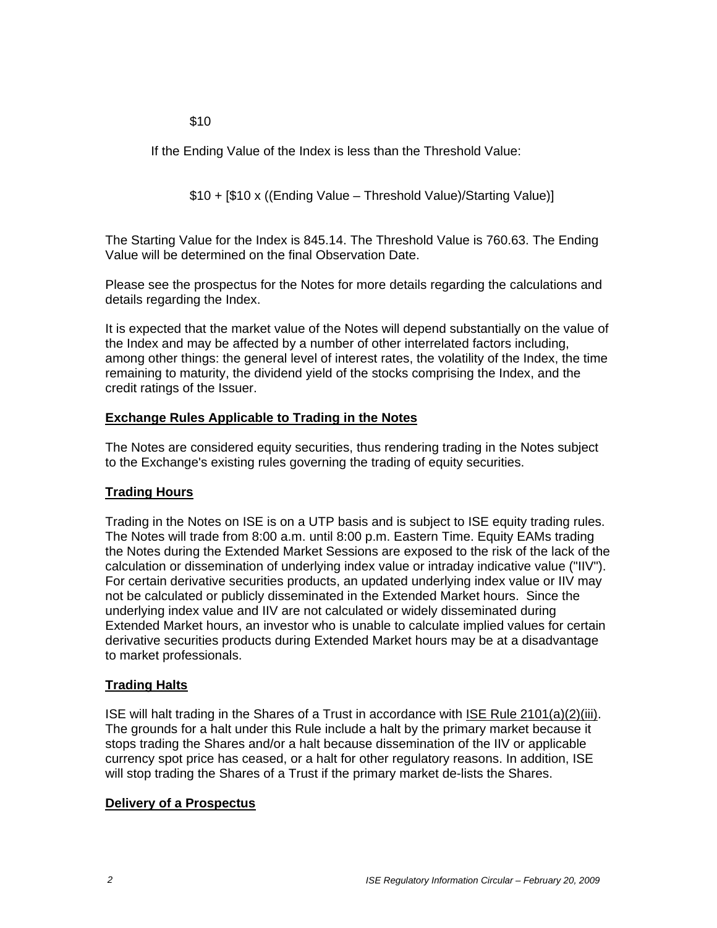$$10$ 

If the Ending Value of the Index is less than the Threshold Value:

\$10 + [\$10 x ((Ending Value – Threshold Value)/Starting Value)]

The Starting Value for the Index is 845.14. The Threshold Value is 760.63. The Ending Value will be determined on the final Observation Date.

Please see the prospectus for the Notes for more details regarding the calculations and details regarding the Index.

It is expected that the market value of the Notes will depend substantially on the value of the Index and may be affected by a number of other interrelated factors including, among other things: the general level of interest rates, the volatility of the Index, the time remaining to maturity, the dividend yield of the stocks comprising the Index, and the credit ratings of the Issuer.

## **Exchange Rules Applicable to Trading in the Notes**

The Notes are considered equity securities, thus rendering trading in the Notes subject to the Exchange's existing rules governing the trading of equity securities.

## **Trading Hours**

Trading in the Notes on ISE is on a UTP basis and is subject to ISE equity trading rules. The Notes will trade from 8:00 a.m. until 8:00 p.m. Eastern Time. Equity EAMs trading the Notes during the Extended Market Sessions are exposed to the risk of the lack of the calculation or dissemination of underlying index value or intraday indicative value ("IIV"). For certain derivative securities products, an updated underlying index value or IIV may not be calculated or publicly disseminated in the Extended Market hours. Since the underlying index value and IIV are not calculated or widely disseminated during Extended Market hours, an investor who is unable to calculate implied values for certain derivative securities products during Extended Market hours may be at a disadvantage to market professionals.

## **Trading Halts**

ISE will halt trading in the Shares of a Trust in accordance with ISE Rule 2101(a)(2)(iii). The grounds for a halt under this Rule include a halt by the primary market because it stops trading the Shares and/or a halt because dissemination of the IIV or applicable currency spot price has ceased, or a halt for other regulatory reasons. In addition, ISE will stop trading the Shares of a Trust if the primary market de-lists the Shares.

## **Delivery of a Prospectus**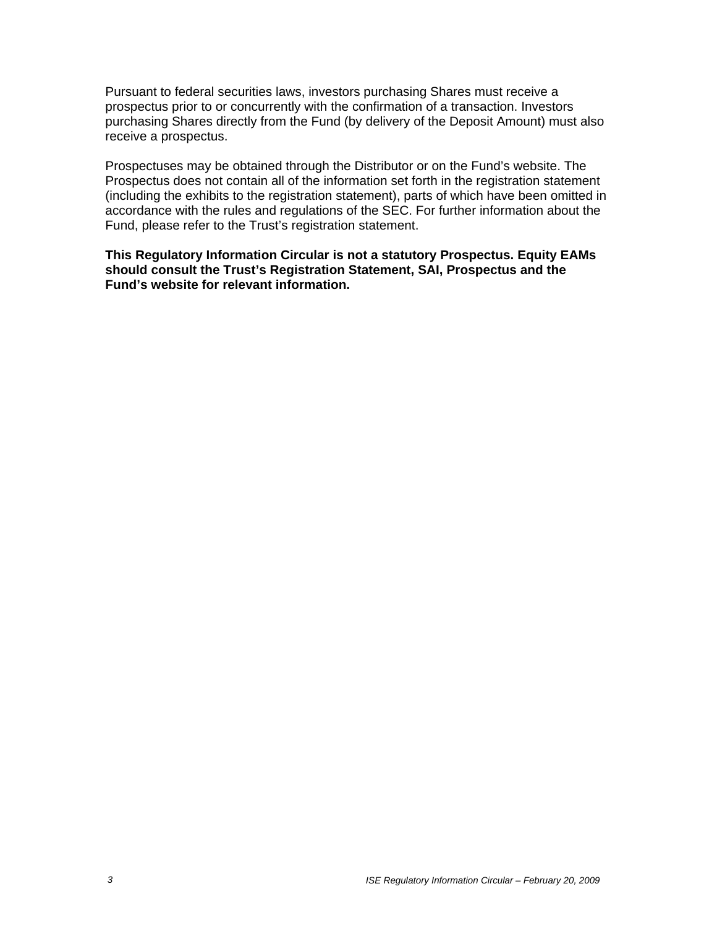Pursuant to federal securities laws, investors purchasing Shares must receive a prospectus prior to or concurrently with the confirmation of a transaction. Investors purchasing Shares directly from the Fund (by delivery of the Deposit Amount) must also receive a prospectus.

Prospectuses may be obtained through the Distributor or on the Fund's website. The Prospectus does not contain all of the information set forth in the registration statement (including the exhibits to the registration statement), parts of which have been omitted in accordance with the rules and regulations of the SEC. For further information about the Fund, please refer to the Trust's registration statement.

**This Regulatory Information Circular is not a statutory Prospectus. Equity EAMs should consult the Trust's Registration Statement, SAI, Prospectus and the Fund's website for relevant information.**